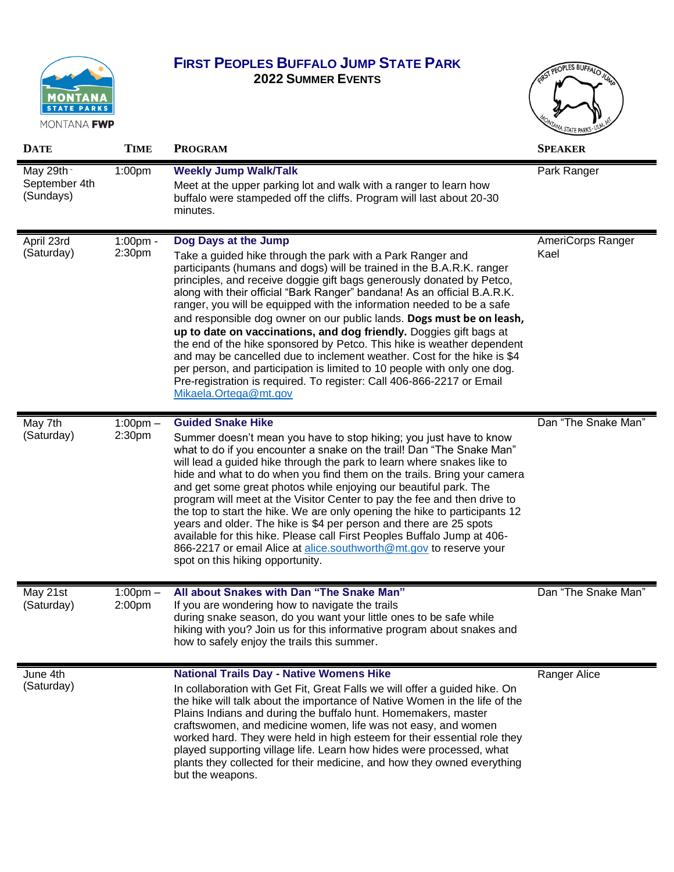

## **FIRST PEOPLES BUFFALO JUMP STATE PARK**

**2022 SUMMER EVENTS**



| <b>DATE</b>                              | <b>TIME</b>                  | <b>PROGRAM</b>                                                                                                                                                                                                                                                                                                                                                                                                                                                                                                                                                                                                                                                                                                                                                                                                                                                              | <b>SPEAKER</b>            |
|------------------------------------------|------------------------------|-----------------------------------------------------------------------------------------------------------------------------------------------------------------------------------------------------------------------------------------------------------------------------------------------------------------------------------------------------------------------------------------------------------------------------------------------------------------------------------------------------------------------------------------------------------------------------------------------------------------------------------------------------------------------------------------------------------------------------------------------------------------------------------------------------------------------------------------------------------------------------|---------------------------|
| May 29th -<br>September 4th<br>(Sundays) | 1:00pm                       | <b>Weekly Jump Walk/Talk</b><br>Meet at the upper parking lot and walk with a ranger to learn how<br>buffalo were stampeded off the cliffs. Program will last about 20-30<br>minutes.                                                                                                                                                                                                                                                                                                                                                                                                                                                                                                                                                                                                                                                                                       | Park Ranger               |
| April 23rd<br>(Saturday)                 | $1:00$ pm -<br>2:30pm        | Dog Days at the Jump<br>Take a guided hike through the park with a Park Ranger and<br>participants (humans and dogs) will be trained in the B.A.R.K. ranger<br>principles, and receive doggie gift bags generously donated by Petco,<br>along with their official "Bark Ranger" bandana! As an official B.A.R.K.<br>ranger, you will be equipped with the information needed to be a safe<br>and responsible dog owner on our public lands. Dogs must be on leash,<br>up to date on vaccinations, and dog friendly. Doggies gift bags at<br>the end of the hike sponsored by Petco. This hike is weather dependent<br>and may be cancelled due to inclement weather. Cost for the hike is \$4<br>per person, and participation is limited to 10 people with only one dog.<br>Pre-registration is required. To register: Call 406-866-2217 or Email<br>Mikaela.Ortega@mt.gov | AmeriCorps Ranger<br>Kael |
| May 7th<br>(Saturday)                    | $1:00$ pm $-$<br>2:30pm      | <b>Guided Snake Hike</b><br>Summer doesn't mean you have to stop hiking; you just have to know<br>what to do if you encounter a snake on the trail! Dan "The Snake Man"<br>will lead a guided hike through the park to learn where snakes like to<br>hide and what to do when you find them on the trails. Bring your camera<br>and get some great photos while enjoying our beautiful park. The<br>program will meet at the Visitor Center to pay the fee and then drive to<br>the top to start the hike. We are only opening the hike to participants 12<br>years and older. The hike is \$4 per person and there are 25 spots<br>available for this hike. Please call First Peoples Buffalo Jump at 406-<br>866-2217 or email Alice at alice.southworth@mt.gov to reserve your<br>spot on this hiking opportunity.                                                       | Dan "The Snake Man"       |
| May 21st<br>(Saturday)                   | $1:00 \text{pm} -$<br>2:00pm | All about Snakes with Dan "The Snake Man"<br>If you are wondering how to navigate the trails<br>during snake season, do you want your little ones to be safe while<br>hiking with you? Join us for this informative program about snakes and<br>how to safely enjoy the trails this summer.                                                                                                                                                                                                                                                                                                                                                                                                                                                                                                                                                                                 | Dan "The Snake Man"       |
| June 4th<br>(Saturday)                   |                              | <b>National Trails Day - Native Womens Hike</b><br>In collaboration with Get Fit, Great Falls we will offer a guided hike. On<br>the hike will talk about the importance of Native Women in the life of the<br>Plains Indians and during the buffalo hunt. Homemakers, master<br>craftswomen, and medicine women, life was not easy, and women<br>worked hard. They were held in high esteem for their essential role they<br>played supporting village life. Learn how hides were processed, what<br>plants they collected for their medicine, and how they owned everything<br>but the weapons.                                                                                                                                                                                                                                                                           | Ranger Alice              |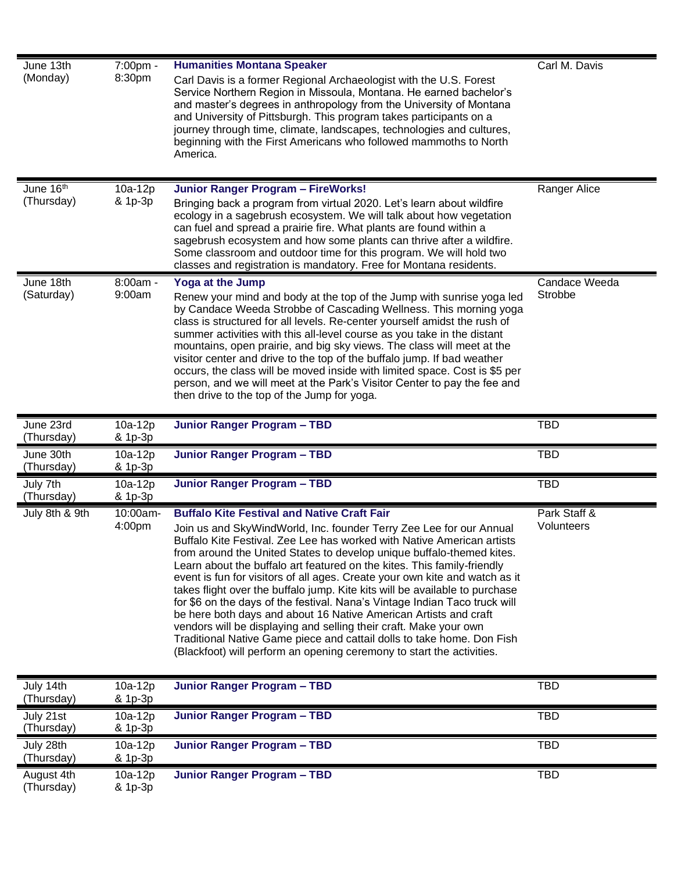| June 13th<br>(Monday)   | 7:00pm -<br>8:30pm   | <b>Humanities Montana Speaker</b>                                                                                                             | Carl M. Davis |
|-------------------------|----------------------|-----------------------------------------------------------------------------------------------------------------------------------------------|---------------|
|                         |                      | Carl Davis is a former Regional Archaeologist with the U.S. Forest                                                                            |               |
|                         |                      | Service Northern Region in Missoula, Montana. He earned bachelor's<br>and master's degrees in anthropology from the University of Montana     |               |
|                         |                      | and University of Pittsburgh. This program takes participants on a                                                                            |               |
|                         |                      | journey through time, climate, landscapes, technologies and cultures,                                                                         |               |
|                         |                      | beginning with the First Americans who followed mammoths to North                                                                             |               |
|                         |                      | America.                                                                                                                                      |               |
|                         |                      |                                                                                                                                               |               |
|                         |                      |                                                                                                                                               |               |
| June 16th               | 10a-12p              | Junior Ranger Program - FireWorks!                                                                                                            | Ranger Alice  |
| (Thursday)              | & 1p-3p              | Bringing back a program from virtual 2020. Let's learn about wildfire                                                                         |               |
|                         |                      | ecology in a sagebrush ecosystem. We will talk about how vegetation                                                                           |               |
|                         |                      | can fuel and spread a prairie fire. What plants are found within a<br>sagebrush ecosystem and how some plants can thrive after a wildfire.    |               |
|                         |                      | Some classroom and outdoor time for this program. We will hold two                                                                            |               |
|                         |                      | classes and registration is mandatory. Free for Montana residents.                                                                            |               |
| June 18th               | 8:00am -             | Yoga at the Jump                                                                                                                              | Candace Weeda |
| (Saturday)              | 9:00am               | Renew your mind and body at the top of the Jump with sunrise yoga led                                                                         | Strobbe       |
|                         |                      | by Candace Weeda Strobbe of Cascading Wellness. This morning yoga                                                                             |               |
|                         |                      | class is structured for all levels. Re-center yourself amidst the rush of                                                                     |               |
|                         |                      | summer activities with this all-level course as you take in the distant                                                                       |               |
|                         |                      | mountains, open prairie, and big sky views. The class will meet at the                                                                        |               |
|                         |                      | visitor center and drive to the top of the buffalo jump. If bad weather                                                                       |               |
|                         |                      | occurs, the class will be moved inside with limited space. Cost is \$5 per                                                                    |               |
|                         |                      | person, and we will meet at the Park's Visitor Center to pay the fee and                                                                      |               |
|                         |                      | then drive to the top of the Jump for yoga.                                                                                                   |               |
|                         |                      |                                                                                                                                               |               |
|                         |                      |                                                                                                                                               |               |
| June 23rd               | $10a-12p$            | Junior Ranger Program - TBD                                                                                                                   | <b>TBD</b>    |
| (Thursday)              | & 1p-3p              |                                                                                                                                               |               |
| June 30th<br>(Thursday) | $10a-12p$<br>& 1p-3p | Junior Ranger Program - TBD                                                                                                                   | <b>TBD</b>    |
|                         |                      |                                                                                                                                               | <b>TBD</b>    |
| July 7th<br>(Thursday)  | $10a-12p$<br>& 1p-3p | Junior Ranger Program - TBD                                                                                                                   |               |
| July 8th & 9th          | 10:00am-             | <b>Buffalo Kite Festival and Native Craft Fair</b>                                                                                            | Park Staff &  |
|                         | 4:00pm               |                                                                                                                                               | Volunteers    |
|                         |                      | Join us and SkyWindWorld, Inc. founder Terry Zee Lee for our Annual<br>Buffalo Kite Festival. Zee Lee has worked with Native American artists |               |
|                         |                      | from around the United States to develop unique buffalo-themed kites.                                                                         |               |
|                         |                      | Learn about the buffalo art featured on the kites. This family-friendly                                                                       |               |
|                         |                      | event is fun for visitors of all ages. Create your own kite and watch as it                                                                   |               |
|                         |                      | takes flight over the buffalo jump. Kite kits will be available to purchase                                                                   |               |
|                         |                      | for \$6 on the days of the festival. Nana's Vintage Indian Taco truck will                                                                    |               |
|                         |                      | be here both days and about 16 Native American Artists and craft                                                                              |               |
|                         |                      | vendors will be displaying and selling their craft. Make your own                                                                             |               |
|                         |                      | Traditional Native Game piece and cattail dolls to take home. Don Fish                                                                        |               |
|                         |                      | (Blackfoot) will perform an opening ceremony to start the activities.                                                                         |               |
|                         |                      |                                                                                                                                               |               |
| July 14th<br>(Thursday) | 10a-12p<br>& 1p-3p   | Junior Ranger Program - TBD                                                                                                                   | <b>TBD</b>    |
| July 21st               | $10a-12p$            | Junior Ranger Program - TBD                                                                                                                   | <b>TBD</b>    |
| (Thursday)              | & 1p-3p              |                                                                                                                                               |               |
| July 28th               | 10a-12p              | Junior Ranger Program - TBD                                                                                                                   | <b>TBD</b>    |
| (Thursday)              | & 1p-3p              | Junior Ranger Program - TBD                                                                                                                   |               |

(Thursday)

& 1p-3p